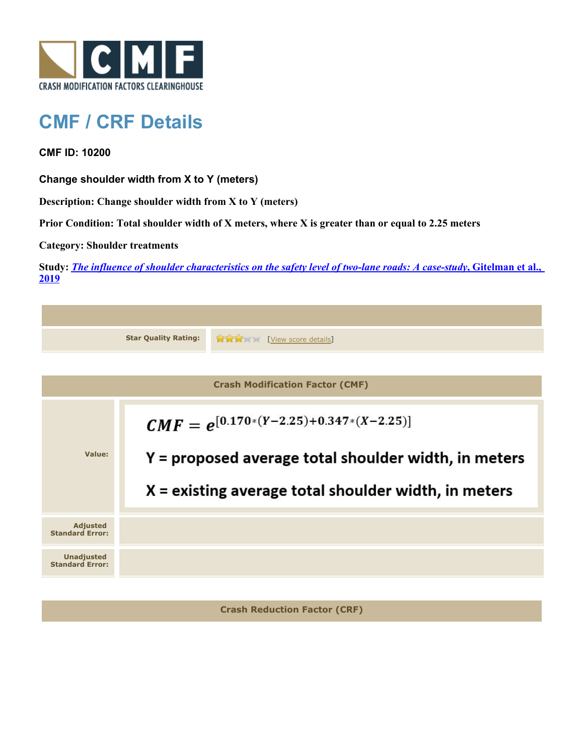

## **CMF / CRF Details**

**CMF ID: 10200**

**Change shoulder width from X to Y (meters)**

**Description: Change shoulder width from X to Y (meters)**

**Prior Condition: Total shoulder width of X meters, where X is greater than or equal to 2.25 meters**

**Category: Shoulder treatments**

**Study:** *[The influence of shoulder characteristics on the safety level of two-lane roads: A case-study](http://www.cmfclearinghouse.org/study_detail.cfm?stid=584)***[, Gitelman et al.,](http://www.cmfclearinghouse.org/study_detail.cfm?stid=584) [2019](http://www.cmfclearinghouse.org/study_detail.cfm?stid=584)**

|                                             | <b>Star Quality Rating:</b>                                                                                                                                   | View score details |  |  |
|---------------------------------------------|---------------------------------------------------------------------------------------------------------------------------------------------------------------|--------------------|--|--|
|                                             |                                                                                                                                                               |                    |  |  |
| <b>Crash Modification Factor (CMF)</b>      |                                                                                                                                                               |                    |  |  |
| Value:                                      | $CMF = e^{[0.170*(Y-2.25)+0.347*(X-2.25)]}$<br>Y = proposed average total shoulder width, in meters<br>$X =$ existing average total shoulder width, in meters |                    |  |  |
| <b>Adjusted</b><br><b>Standard Error:</b>   |                                                                                                                                                               |                    |  |  |
| <b>Unadjusted</b><br><b>Standard Error:</b> |                                                                                                                                                               |                    |  |  |
|                                             |                                                                                                                                                               |                    |  |  |

**Crash Reduction Factor (CRF)**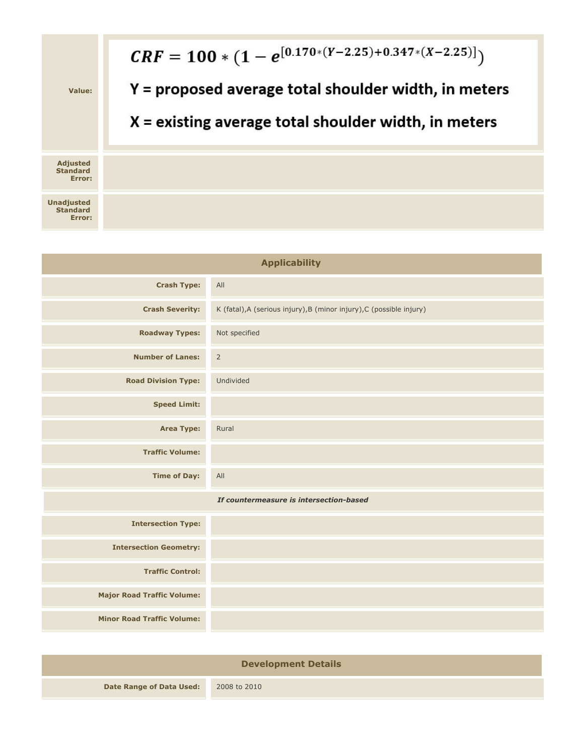

| <b>Applicability</b>                    |                                                                      |  |  |
|-----------------------------------------|----------------------------------------------------------------------|--|--|
| <b>Crash Type:</b>                      | All                                                                  |  |  |
| <b>Crash Severity:</b>                  | K (fatal), A (serious injury), B (minor injury), C (possible injury) |  |  |
| <b>Roadway Types:</b>                   | Not specified                                                        |  |  |
| <b>Number of Lanes:</b>                 | $\overline{2}$                                                       |  |  |
| <b>Road Division Type:</b>              | Undivided                                                            |  |  |
| <b>Speed Limit:</b>                     |                                                                      |  |  |
| <b>Area Type:</b>                       | Rural                                                                |  |  |
| <b>Traffic Volume:</b>                  |                                                                      |  |  |
| <b>Time of Day:</b>                     | All                                                                  |  |  |
| If countermeasure is intersection-based |                                                                      |  |  |
| <b>Intersection Type:</b>               |                                                                      |  |  |
| <b>Intersection Geometry:</b>           |                                                                      |  |  |
| <b>Traffic Control:</b>                 |                                                                      |  |  |
| <b>Major Road Traffic Volume:</b>       |                                                                      |  |  |
| <b>Minor Road Traffic Volume:</b>       |                                                                      |  |  |
|                                         |                                                                      |  |  |

| <b>Development Details</b> |              |  |  |
|----------------------------|--------------|--|--|
| Date Range of Data Used:   | 2008 to 2010 |  |  |